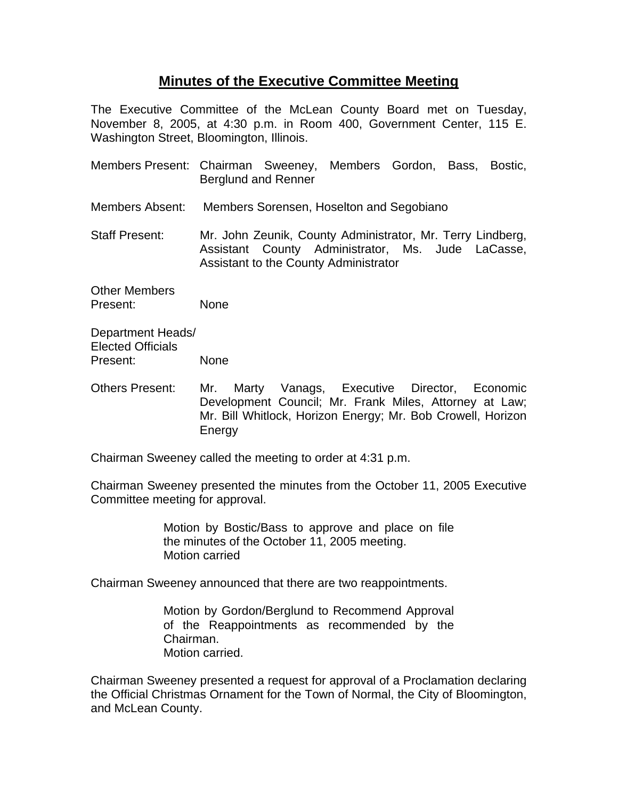## **Minutes of the Executive Committee Meeting**

The Executive Committee of the McLean County Board met on Tuesday, November 8, 2005, at 4:30 p.m. in Room 400, Government Center, 115 E. Washington Street, Bloomington, Illinois.

- Members Present: Chairman Sweeney, Members Gordon, Bass, Bostic, Berglund and Renner
- Members Absent: Members Sorensen, Hoselton and Segobiano

Staff Present: Mr. John Zeunik, County Administrator, Mr. Terry Lindberg, Assistant County Administrator, Ms. Jude LaCasse, Assistant to the County Administrator

Other Members Present: None

Department Heads/ Elected Officials Present: None

Others Present: Mr. Marty Vanags, Executive Director, Economic Development Council; Mr. Frank Miles, Attorney at Law; Mr. Bill Whitlock, Horizon Energy; Mr. Bob Crowell, Horizon Energy

Chairman Sweeney called the meeting to order at 4:31 p.m.

Chairman Sweeney presented the minutes from the October 11, 2005 Executive Committee meeting for approval.

> Motion by Bostic/Bass to approve and place on file the minutes of the October 11, 2005 meeting. Motion carried

Chairman Sweeney announced that there are two reappointments.

Motion by Gordon/Berglund to Recommend Approval of the Reappointments as recommended by the Chairman. Motion carried.

Chairman Sweeney presented a request for approval of a Proclamation declaring the Official Christmas Ornament for the Town of Normal, the City of Bloomington, and McLean County.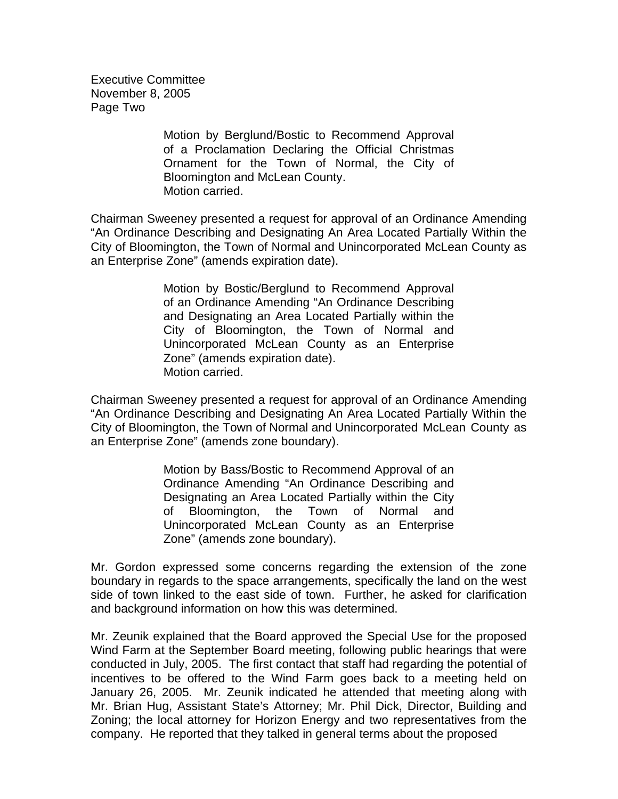Executive Committee November 8, 2005 Page Two

> Motion by Berglund/Bostic to Recommend Approval of a Proclamation Declaring the Official Christmas Ornament for the Town of Normal, the City of Bloomington and McLean County. Motion carried.

Chairman Sweeney presented a request for approval of an Ordinance Amending "An Ordinance Describing and Designating An Area Located Partially Within the City of Bloomington, the Town of Normal and Unincorporated McLean County as an Enterprise Zone" (amends expiration date).

> Motion by Bostic/Berglund to Recommend Approval of an Ordinance Amending "An Ordinance Describing and Designating an Area Located Partially within the City of Bloomington, the Town of Normal and Unincorporated McLean County as an Enterprise Zone" (amends expiration date). Motion carried.

Chairman Sweeney presented a request for approval of an Ordinance Amending "An Ordinance Describing and Designating An Area Located Partially Within the City of Bloomington, the Town of Normal and Unincorporated McLean County as an Enterprise Zone" (amends zone boundary).

> Motion by Bass/Bostic to Recommend Approval of an Ordinance Amending "An Ordinance Describing and Designating an Area Located Partially within the City of Bloomington, the Town of Normal and Unincorporated McLean County as an Enterprise Zone" (amends zone boundary).

Mr. Gordon expressed some concerns regarding the extension of the zone boundary in regards to the space arrangements, specifically the land on the west side of town linked to the east side of town. Further, he asked for clarification and background information on how this was determined.

Mr. Zeunik explained that the Board approved the Special Use for the proposed Wind Farm at the September Board meeting, following public hearings that were conducted in July, 2005. The first contact that staff had regarding the potential of incentives to be offered to the Wind Farm goes back to a meeting held on January 26, 2005. Mr. Zeunik indicated he attended that meeting along with Mr. Brian Hug, Assistant State's Attorney; Mr. Phil Dick, Director, Building and Zoning; the local attorney for Horizon Energy and two representatives from the company. He reported that they talked in general terms about the proposed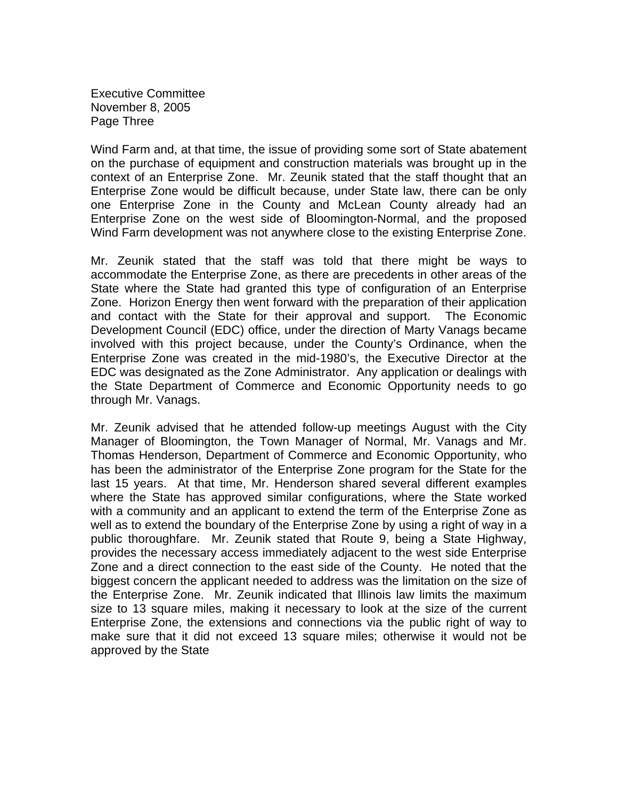Executive Committee November 8, 2005 Page Three

Wind Farm and, at that time, the issue of providing some sort of State abatement on the purchase of equipment and construction materials was brought up in the context of an Enterprise Zone. Mr. Zeunik stated that the staff thought that an Enterprise Zone would be difficult because, under State law, there can be only one Enterprise Zone in the County and McLean County already had an Enterprise Zone on the west side of Bloomington-Normal, and the proposed Wind Farm development was not anywhere close to the existing Enterprise Zone.

Mr. Zeunik stated that the staff was told that there might be ways to accommodate the Enterprise Zone, as there are precedents in other areas of the State where the State had granted this type of configuration of an Enterprise Zone. Horizon Energy then went forward with the preparation of their application and contact with the State for their approval and support. The Economic Development Council (EDC) office, under the direction of Marty Vanags became involved with this project because, under the County's Ordinance, when the Enterprise Zone was created in the mid-1980's, the Executive Director at the EDC was designated as the Zone Administrator. Any application or dealings with the State Department of Commerce and Economic Opportunity needs to go through Mr. Vanags.

Mr. Zeunik advised that he attended follow-up meetings August with the City Manager of Bloomington, the Town Manager of Normal, Mr. Vanags and Mr. Thomas Henderson, Department of Commerce and Economic Opportunity, who has been the administrator of the Enterprise Zone program for the State for the last 15 years. At that time, Mr. Henderson shared several different examples where the State has approved similar configurations, where the State worked with a community and an applicant to extend the term of the Enterprise Zone as well as to extend the boundary of the Enterprise Zone by using a right of way in a public thoroughfare. Mr. Zeunik stated that Route 9, being a State Highway, provides the necessary access immediately adjacent to the west side Enterprise Zone and a direct connection to the east side of the County. He noted that the biggest concern the applicant needed to address was the limitation on the size of the Enterprise Zone. Mr. Zeunik indicated that Illinois law limits the maximum size to 13 square miles, making it necessary to look at the size of the current Enterprise Zone, the extensions and connections via the public right of way to make sure that it did not exceed 13 square miles; otherwise it would not be approved by the State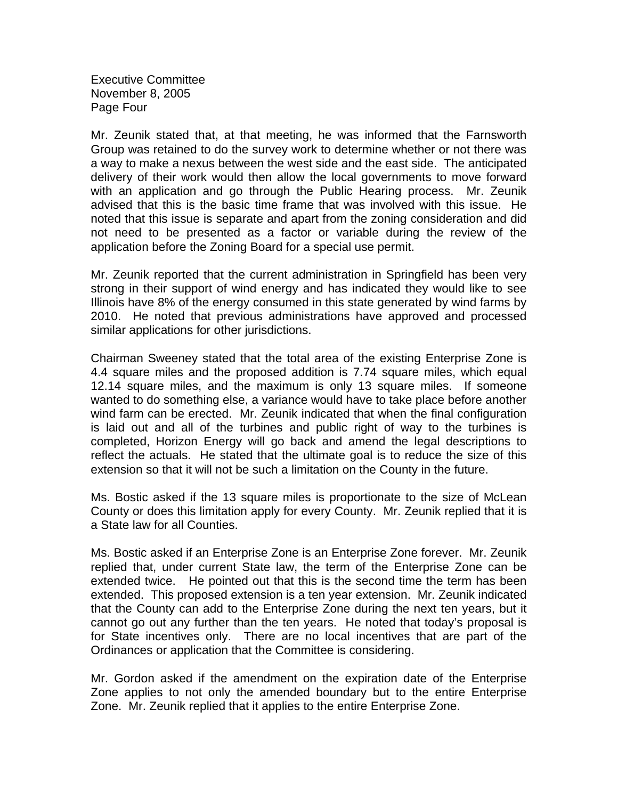Executive Committee November 8, 2005 Page Four

Mr. Zeunik stated that, at that meeting, he was informed that the Farnsworth Group was retained to do the survey work to determine whether or not there was a way to make a nexus between the west side and the east side. The anticipated delivery of their work would then allow the local governments to move forward with an application and go through the Public Hearing process. Mr. Zeunik advised that this is the basic time frame that was involved with this issue. He noted that this issue is separate and apart from the zoning consideration and did not need to be presented as a factor or variable during the review of the application before the Zoning Board for a special use permit.

Mr. Zeunik reported that the current administration in Springfield has been very strong in their support of wind energy and has indicated they would like to see Illinois have 8% of the energy consumed in this state generated by wind farms by 2010. He noted that previous administrations have approved and processed similar applications for other jurisdictions.

Chairman Sweeney stated that the total area of the existing Enterprise Zone is 4.4 square miles and the proposed addition is 7.74 square miles, which equal 12.14 square miles, and the maximum is only 13 square miles. If someone wanted to do something else, a variance would have to take place before another wind farm can be erected. Mr. Zeunik indicated that when the final configuration is laid out and all of the turbines and public right of way to the turbines is completed, Horizon Energy will go back and amend the legal descriptions to reflect the actuals. He stated that the ultimate goal is to reduce the size of this extension so that it will not be such a limitation on the County in the future.

Ms. Bostic asked if the 13 square miles is proportionate to the size of McLean County or does this limitation apply for every County. Mr. Zeunik replied that it is a State law for all Counties.

Ms. Bostic asked if an Enterprise Zone is an Enterprise Zone forever. Mr. Zeunik replied that, under current State law, the term of the Enterprise Zone can be extended twice. He pointed out that this is the second time the term has been extended. This proposed extension is a ten year extension. Mr. Zeunik indicated that the County can add to the Enterprise Zone during the next ten years, but it cannot go out any further than the ten years. He noted that today's proposal is for State incentives only. There are no local incentives that are part of the Ordinances or application that the Committee is considering.

Mr. Gordon asked if the amendment on the expiration date of the Enterprise Zone applies to not only the amended boundary but to the entire Enterprise Zone. Mr. Zeunik replied that it applies to the entire Enterprise Zone.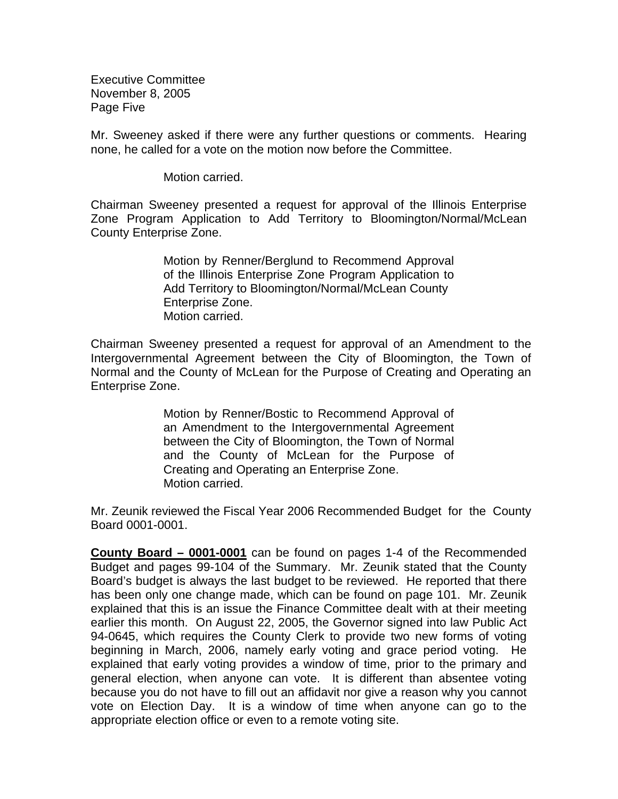Executive Committee November 8, 2005 Page Five

Mr. Sweeney asked if there were any further questions or comments. Hearing none, he called for a vote on the motion now before the Committee.

Motion carried.

Chairman Sweeney presented a request for approval of the Illinois Enterprise Zone Program Application to Add Territory to Bloomington/Normal/McLean County Enterprise Zone.

> Motion by Renner/Berglund to Recommend Approval of the Illinois Enterprise Zone Program Application to Add Territory to Bloomington/Normal/McLean County Enterprise Zone. Motion carried.

Chairman Sweeney presented a request for approval of an Amendment to the Intergovernmental Agreement between the City of Bloomington, the Town of Normal and the County of McLean for the Purpose of Creating and Operating an Enterprise Zone.

> Motion by Renner/Bostic to Recommend Approval of an Amendment to the Intergovernmental Agreement between the City of Bloomington, the Town of Normal and the County of McLean for the Purpose of Creating and Operating an Enterprise Zone. Motion carried.

Mr. Zeunik reviewed the Fiscal Year 2006 Recommended Budget for the County Board 0001-0001.

**County Board – 0001-0001** can be found on pages 1-4 of the Recommended Budget and pages 99-104 of the Summary. Mr. Zeunik stated that the County Board's budget is always the last budget to be reviewed. He reported that there has been only one change made, which can be found on page 101. Mr. Zeunik explained that this is an issue the Finance Committee dealt with at their meeting earlier this month. On August 22, 2005, the Governor signed into law Public Act 94-0645, which requires the County Clerk to provide two new forms of voting beginning in March, 2006, namely early voting and grace period voting. He explained that early voting provides a window of time, prior to the primary and general election, when anyone can vote. It is different than absentee voting because you do not have to fill out an affidavit nor give a reason why you cannot vote on Election Day. It is a window of time when anyone can go to the appropriate election office or even to a remote voting site.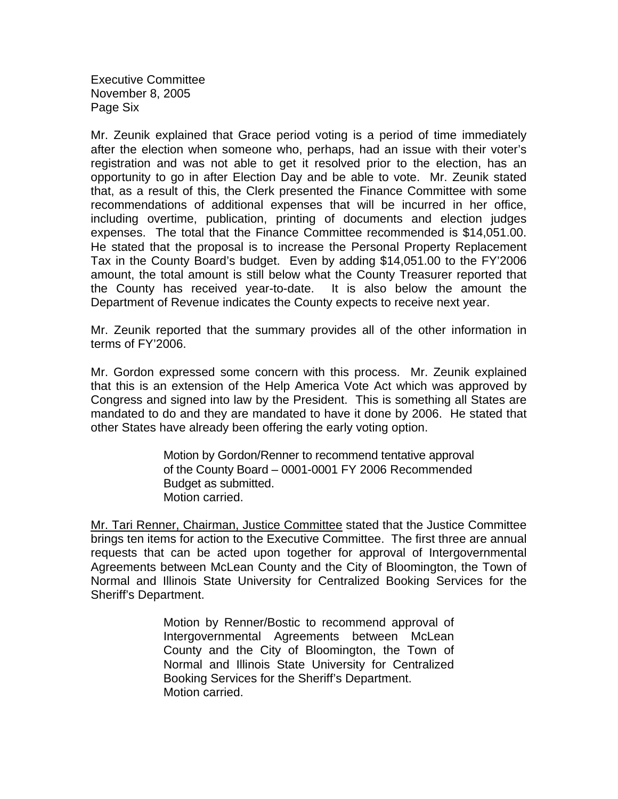Executive Committee November 8, 2005 Page Six

Mr. Zeunik explained that Grace period voting is a period of time immediately after the election when someone who, perhaps, had an issue with their voter's registration and was not able to get it resolved prior to the election, has an opportunity to go in after Election Day and be able to vote. Mr. Zeunik stated that, as a result of this, the Clerk presented the Finance Committee with some recommendations of additional expenses that will be incurred in her office, including overtime, publication, printing of documents and election judges expenses. The total that the Finance Committee recommended is \$14,051.00. He stated that the proposal is to increase the Personal Property Replacement Tax in the County Board's budget. Even by adding \$14,051.00 to the FY'2006 amount, the total amount is still below what the County Treasurer reported that the County has received year-to-date. It is also below the amount the Department of Revenue indicates the County expects to receive next year.

Mr. Zeunik reported that the summary provides all of the other information in terms of FY'2006.

Mr. Gordon expressed some concern with this process. Mr. Zeunik explained that this is an extension of the Help America Vote Act which was approved by Congress and signed into law by the President. This is something all States are mandated to do and they are mandated to have it done by 2006. He stated that other States have already been offering the early voting option.

> Motion by Gordon/Renner to recommend tentative approval of the County Board – 0001-0001 FY 2006 Recommended Budget as submitted. Motion carried.

Mr. Tari Renner, Chairman, Justice Committee stated that the Justice Committee brings ten items for action to the Executive Committee. The first three are annual requests that can be acted upon together for approval of Intergovernmental Agreements between McLean County and the City of Bloomington, the Town of Normal and Illinois State University for Centralized Booking Services for the Sheriff's Department.

> Motion by Renner/Bostic to recommend approval of Intergovernmental Agreements between McLean County and the City of Bloomington, the Town of Normal and Illinois State University for Centralized Booking Services for the Sheriff's Department. Motion carried.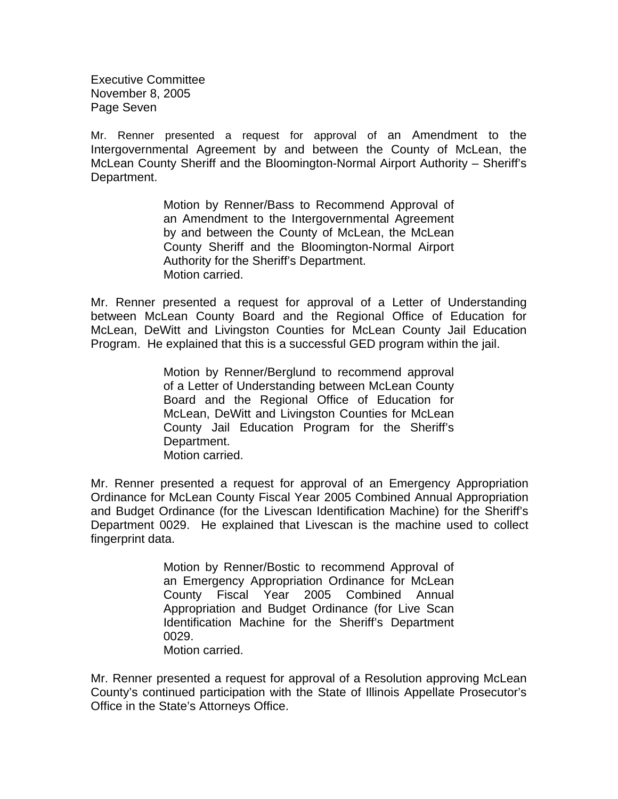Executive Committee November 8, 2005 Page Seven

Mr. Renner presented a request for approval of an Amendment to the Intergovernmental Agreement by and between the County of McLean, the McLean County Sheriff and the Bloomington-Normal Airport Authority – Sheriff's Department.

> Motion by Renner/Bass to Recommend Approval of an Amendment to the Intergovernmental Agreement by and between the County of McLean, the McLean County Sheriff and the Bloomington-Normal Airport Authority for the Sheriff's Department. Motion carried.

Mr. Renner presented a request for approval of a Letter of Understanding between McLean County Board and the Regional Office of Education for McLean, DeWitt and Livingston Counties for McLean County Jail Education Program. He explained that this is a successful GED program within the jail.

> Motion by Renner/Berglund to recommend approval of a Letter of Understanding between McLean County Board and the Regional Office of Education for McLean, DeWitt and Livingston Counties for McLean County Jail Education Program for the Sheriff's Department. Motion carried.

Mr. Renner presented a request for approval of an Emergency Appropriation Ordinance for McLean County Fiscal Year 2005 Combined Annual Appropriation and Budget Ordinance (for the Livescan Identification Machine) for the Sheriff's Department 0029. He explained that Livescan is the machine used to collect fingerprint data.

> Motion by Renner/Bostic to recommend Approval of an Emergency Appropriation Ordinance for McLean County Fiscal Year 2005 Combined Annual Appropriation and Budget Ordinance (for Live Scan Identification Machine for the Sheriff's Department 0029. Motion carried.

Mr. Renner presented a request for approval of a Resolution approving McLean County's continued participation with the State of Illinois Appellate Prosecutor's Office in the State's Attorneys Office.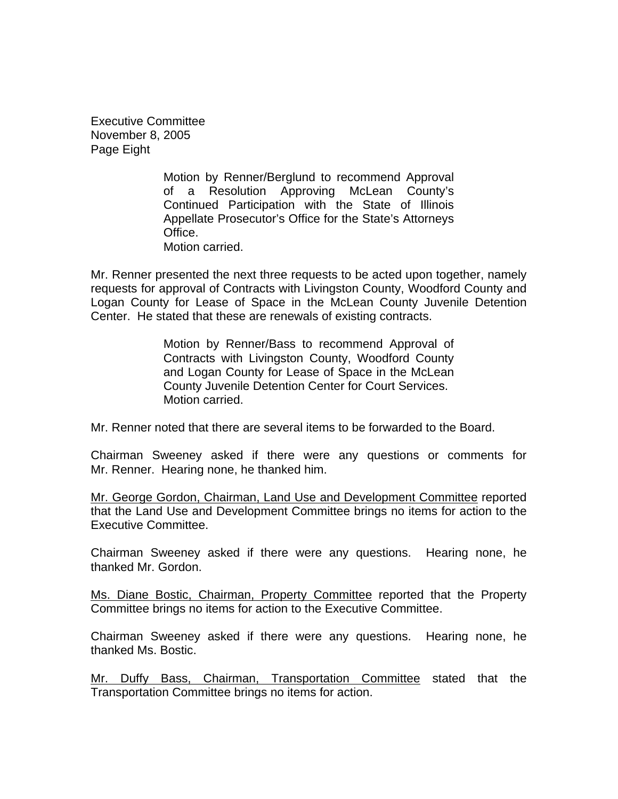Executive Committee November 8, 2005 Page Eight

> Motion by Renner/Berglund to recommend Approval of a Resolution Approving McLean County's Continued Participation with the State of Illinois Appellate Prosecutor's Office for the State's Attorneys Office. Motion carried.

Mr. Renner presented the next three requests to be acted upon together, namely requests for approval of Contracts with Livingston County, Woodford County and Logan County for Lease of Space in the McLean County Juvenile Detention Center. He stated that these are renewals of existing contracts.

> Motion by Renner/Bass to recommend Approval of Contracts with Livingston County, Woodford County and Logan County for Lease of Space in the McLean County Juvenile Detention Center for Court Services. Motion carried.

Mr. Renner noted that there are several items to be forwarded to the Board.

Chairman Sweeney asked if there were any questions or comments for Mr. Renner. Hearing none, he thanked him.

Mr. George Gordon, Chairman, Land Use and Development Committee reported that the Land Use and Development Committee brings no items for action to the Executive Committee.

Chairman Sweeney asked if there were any questions. Hearing none, he thanked Mr. Gordon.

Ms. Diane Bostic, Chairman, Property Committee reported that the Property Committee brings no items for action to the Executive Committee.

Chairman Sweeney asked if there were any questions. Hearing none, he thanked Ms. Bostic.

Mr. Duffy Bass, Chairman, Transportation Committee stated that the Transportation Committee brings no items for action.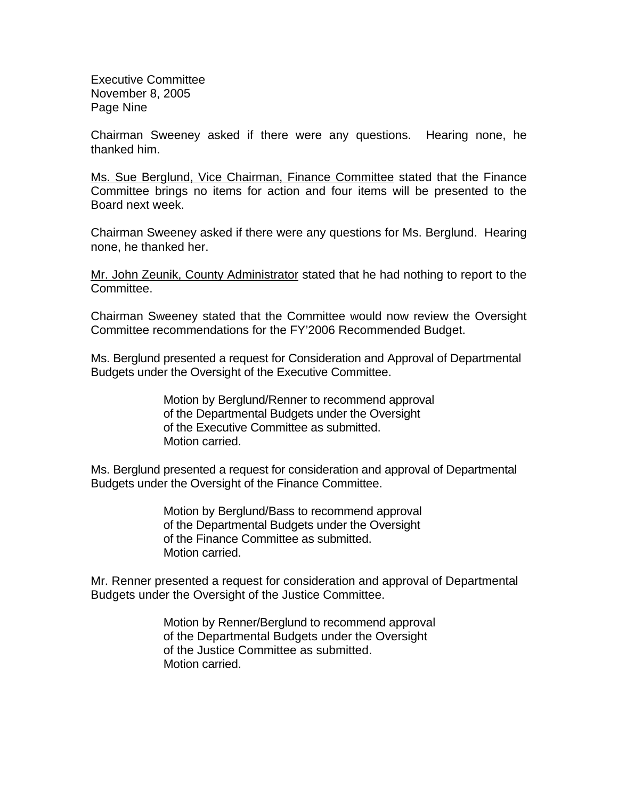Executive Committee November 8, 2005 Page Nine

Chairman Sweeney asked if there were any questions. Hearing none, he thanked him.

Ms. Sue Berglund, Vice Chairman, Finance Committee stated that the Finance Committee brings no items for action and four items will be presented to the Board next week.

Chairman Sweeney asked if there were any questions for Ms. Berglund. Hearing none, he thanked her.

Mr. John Zeunik, County Administrator stated that he had nothing to report to the Committee.

Chairman Sweeney stated that the Committee would now review the Oversight Committee recommendations for the FY'2006 Recommended Budget.

Ms. Berglund presented a request for Consideration and Approval of Departmental Budgets under the Oversight of the Executive Committee.

> Motion by Berglund/Renner to recommend approval of the Departmental Budgets under the Oversight of the Executive Committee as submitted. Motion carried.

Ms. Berglund presented a request for consideration and approval of Departmental Budgets under the Oversight of the Finance Committee.

> Motion by Berglund/Bass to recommend approval of the Departmental Budgets under the Oversight of the Finance Committee as submitted. Motion carried.

Mr. Renner presented a request for consideration and approval of Departmental Budgets under the Oversight of the Justice Committee.

> Motion by Renner/Berglund to recommend approval of the Departmental Budgets under the Oversight of the Justice Committee as submitted. Motion carried.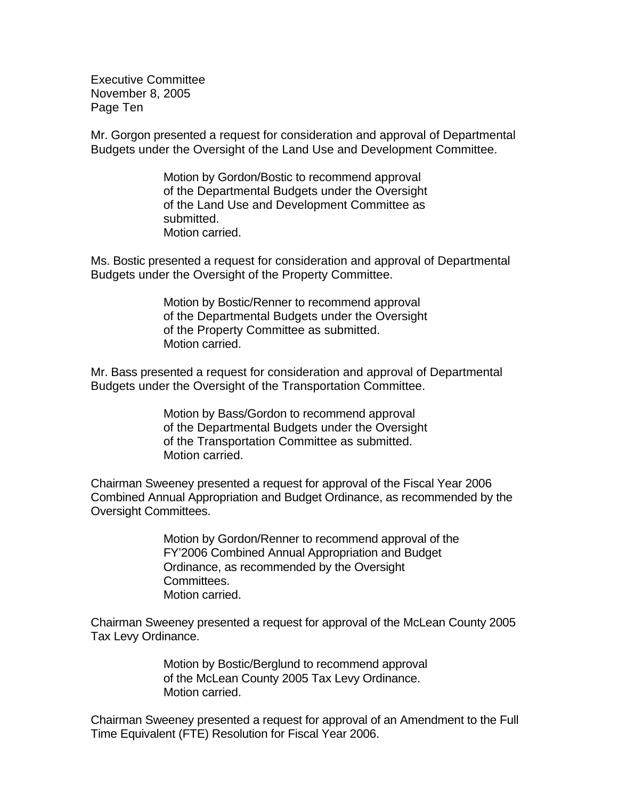Executive Committee November 8, 2005 Page Ten

Mr. Gorgon presented a request for consideration and approval of Departmental Budgets under the Oversight of the Land Use and Development Committee.

> Motion by Gordon/Bostic to recommend approval of the Departmental Budgets under the Oversight of the Land Use and Development Committee as submitted. Motion carried.

Ms. Bostic presented a request for consideration and approval of Departmental Budgets under the Oversight of the Property Committee.

> Motion by Bostic/Renner to recommend approval of the Departmental Budgets under the Oversight of the Property Committee as submitted. Motion carried.

Mr. Bass presented a request for consideration and approval of Departmental Budgets under the Oversight of the Transportation Committee.

> Motion by Bass/Gordon to recommend approval of the Departmental Budgets under the Oversight of the Transportation Committee as submitted. Motion carried.

Chairman Sweeney presented a request for approval of the Fiscal Year 2006 Combined Annual Appropriation and Budget Ordinance, as recommended by the Oversight Committees.

> Motion by Gordon/Renner to recommend approval of the FY'2006 Combined Annual Appropriation and Budget Ordinance, as recommended by the Oversight Committees. Motion carried.

Chairman Sweeney presented a request for approval of the McLean County 2005 Tax Levy Ordinance.

> Motion by Bostic/Berglund to recommend approval of the McLean County 2005 Tax Levy Ordinance. Motion carried.

Chairman Sweeney presented a request for approval of an Amendment to the Full Time Equivalent (FTE) Resolution for Fiscal Year 2006.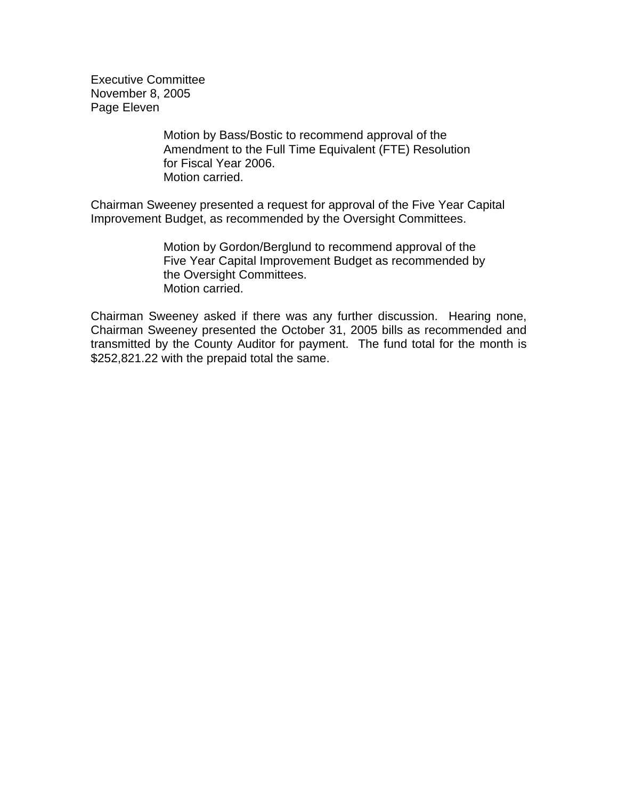Executive Committee November 8, 2005 Page Eleven

> Motion by Bass/Bostic to recommend approval of the Amendment to the Full Time Equivalent (FTE) Resolution for Fiscal Year 2006. Motion carried.

Chairman Sweeney presented a request for approval of the Five Year Capital Improvement Budget, as recommended by the Oversight Committees.

> Motion by Gordon/Berglund to recommend approval of the Five Year Capital Improvement Budget as recommended by the Oversight Committees. Motion carried.

Chairman Sweeney asked if there was any further discussion. Hearing none, Chairman Sweeney presented the October 31, 2005 bills as recommended and transmitted by the County Auditor for payment. The fund total for the month is \$252,821.22 with the prepaid total the same.